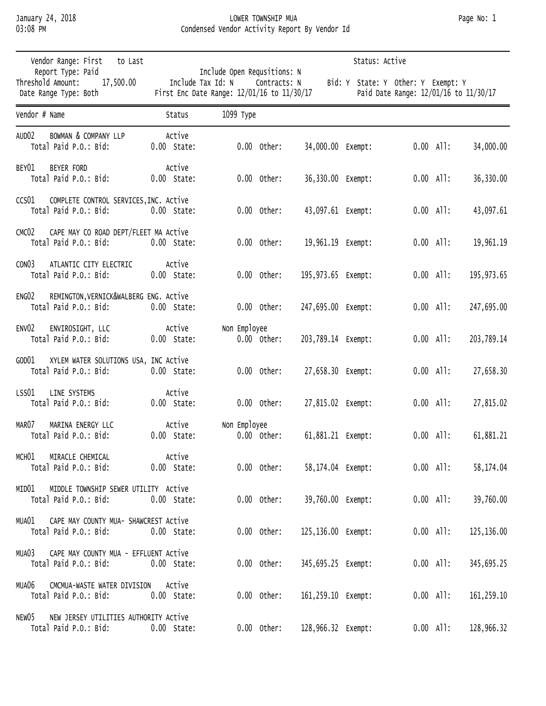## January 24, 2018 LOWER TOWNSHIP MUA Page No: 1 Condensed Vendor Activity Report By Vendor Id

| Vendor Range: First<br>to Last                                                       | Status: Active<br>Include Open Requsitions: N<br>Include Tax Id: N<br>Contracts: N<br>Bid: Y State: Y Other: Y Exempt: Y<br>First Enc Date Range: 12/01/16 to 11/30/17<br>Paid Date Range: 12/01/16 to 11/30/17 |                               |                    |                    |             |             |  |  |  |
|--------------------------------------------------------------------------------------|-----------------------------------------------------------------------------------------------------------------------------------------------------------------------------------------------------------------|-------------------------------|--------------------|--------------------|-------------|-------------|--|--|--|
| Report Type: Paid<br>Threshold Amount:<br>17,500.00<br>Date Range Type: Both         |                                                                                                                                                                                                                 |                               |                    |                    |             |             |  |  |  |
| Vendor # Name                                                                        | Status                                                                                                                                                                                                          | 1099 Туре                     |                    |                    |             |             |  |  |  |
| AUD <sub>02</sub><br>BOWMAN & COMPANY LLP<br>Total Paid P.O.: Bid:                   | Active<br>$0.00$ State:                                                                                                                                                                                         | $0.00$ Other:                 | 34,000.00 Exempt:  |                    | $0.00$ All: | 34,000.00   |  |  |  |
| BEY01<br><b>BEYER FORD</b><br>Total Paid P.O.: Bid:                                  | Active<br>$0.00$ State:                                                                                                                                                                                         | $0.00$ Other:                 | 36,330.00 Exempt:  |                    | $0.00$ All: | 36,330.00   |  |  |  |
| CCS <sub>01</sub><br>COMPLETE CONTROL SERVICES, INC. Active<br>Total Paid P.O.: Bid: | $0.00$ State:                                                                                                                                                                                                   | $0.00$ Other:                 | 43,097.61 Exempt:  |                    | $0.00$ All: | 43,097.61   |  |  |  |
| CAPE MAY CO ROAD DEPT/FLEET MA Active<br>CMC <sub>02</sub><br>Total Paid P.O.: Bid:  | $0.00$ State:                                                                                                                                                                                                   | $0.00$ Other:                 | 19,961.19 Exempt:  |                    | $0.00$ All: | 19,961.19   |  |  |  |
| CON <sub>03</sub><br>ATLANTIC CITY ELECTRIC<br>Total Paid P.O.: Bid:                 | Active<br>$0.00$ State:                                                                                                                                                                                         | $0.00$ Other:                 | 195,973.65 Exempt: |                    | $0.00$ All: | 195, 973.65 |  |  |  |
| ENG02<br>REMINGTON, VERNICK&WALBERG ENG. Active<br>Total Paid P.O.: Bid:             | $0.00$ State:                                                                                                                                                                                                   | $0.00$ Other:                 | 247,695.00 Exempt: |                    | $0.00$ All: | 247,695.00  |  |  |  |
| ENV <sub>02</sub><br>ENVIROSIGHT, LLC<br>Total Paid P.O.: Bid:                       | Active<br>$0.00$ State:                                                                                                                                                                                         | Non Employee<br>$0.00$ Other: | 203,789.14 Exempt: |                    | $0.00$ All: | 203,789.14  |  |  |  |
| GOD01<br>XYLEM WATER SOLUTIONS USA, INC Active<br>Total Paid P.O.: Bid:              | $0.00$ State:                                                                                                                                                                                                   | $0.00$ Other:                 | 27,658.30 Exempt:  |                    | $0.00$ All: | 27,658.30   |  |  |  |
| LSS01<br>LINE SYSTEMS<br>Total Paid P.O.: Bid:                                       | Active<br>$0.00$ State:                                                                                                                                                                                         | $0.00$ Other:                 | 27,815.02 Exempt:  |                    | $0.00$ All: | 27,815.02   |  |  |  |
| MAR07<br>MARINA ENERGY LLC<br>Total Paid P.O.: Bid:                                  | Active<br>$0.00$ State:                                                                                                                                                                                         | Non Employee<br>$0.00$ Other: | 61,881.21 Exempt:  |                    | $0.00$ All: | 61,881.21   |  |  |  |
| MIRACLE CHEMICAL<br>MCHO1<br>Total Paid P.O.: Bid:                                   | Active<br>0.00 State:                                                                                                                                                                                           | $0.00$ Other:                 |                    | 58,174.04 Exempt:  | $0.00$ All: | 58,174.04   |  |  |  |
| MIDDLE TOWNSHIP SEWER UTILITY Active<br>MIDO1<br>Total Paid P.O.: Bid:               | $0.00$ State:                                                                                                                                                                                                   | $0.00$ Other:                 |                    | 39,760.00 Exempt:  | $0.00$ All: | 39,760.00   |  |  |  |
| CAPE MAY COUNTY MUA- SHAWCREST Active<br>MUA01<br>Total Paid P.O.: Bid:              | $0.00$ State:                                                                                                                                                                                                   | $0.00$ Other:                 |                    | 125,136.00 Exempt: | $0.00$ All: | 125,136.00  |  |  |  |
| CAPE MAY COUNTY MUA - EFFLUENT ACTIVE<br>MUA03<br>Total Paid P.O.: Bid:              | $0.00$ State:                                                                                                                                                                                                   | $0.00$ Other:                 |                    | 345,695.25 Exempt: | $0.00$ All: | 345,695.25  |  |  |  |
| CMCMUA-WASTE WATER DIVISION Active<br>MUA06<br>Total Paid P.O.: Bid:                 | $0.00$ State:                                                                                                                                                                                                   | $0.00$ Other:                 |                    | 161,259.10 Exempt: | $0.00$ All: | 161, 259.10 |  |  |  |
| NEW JERSEY UTILITIES AUTHORITY ACTIVE<br>NEW05<br>Total Paid P.O.: Bid:              | $0.00$ State:                                                                                                                                                                                                   | $0.00$ Other:                 | 128,966.32 Exempt: |                    | $0.00$ All: | 128,966.32  |  |  |  |